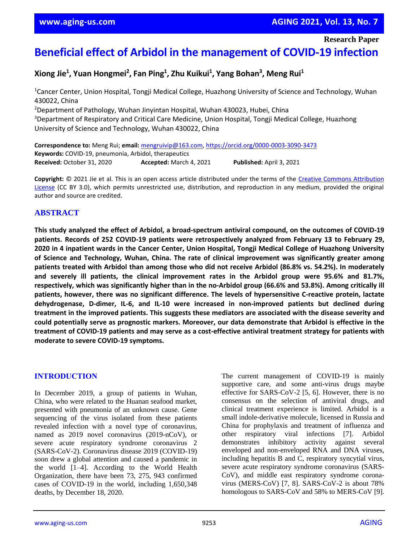**Research Paper**

# **Beneficial effect of Arbidol in the management of COVID-19 infection**

**Xiong Jie<sup>1</sup> , Yuan Hongmei<sup>2</sup> , Fan Ping<sup>1</sup> , Zhu Kuikui<sup>1</sup> , Yang Bohan<sup>3</sup> , Meng Rui<sup>1</sup>**

<sup>1</sup>Cancer Center, Union Hospital, Tongji Medical College, Huazhong University of Science and Technology, Wuhan 430022, China

<sup>2</sup>Department of Pathology, Wuhan Jinyintan Hospital, Wuhan 430023, Hubei, China <sup>3</sup>Department of Respiratory and Critical Care Medicine, Union Hospital, Tongji Medical College, Huazhong University of Science and Technology, Wuhan 430022, China

**Correspondence to:** Meng Rui; **email:** [mengruivip@163.com,](mailto:mengruivip@163.com)<https://orcid.org/0000-0003-3090-3473> **Keywords:** COVID-19, pneumonia, Arbidol, therapeutics **Received:** October 31, 2020 **Accepted:** March 4, 2021 **Published:** April 3, 2021

**Copyright:** © 2021 Jie et al. This is an open access article distributed under the terms of the [Creative Commons Attribution](https://creativecommons.org/licenses/by/3.0/)  [License](https://creativecommons.org/licenses/by/3.0/) (CC BY 3.0), which permits unrestricted use, distribution, and reproduction in any medium, provided the original author and source are credited.

# **ABSTRACT**

**This study analyzed the effect of Arbidol, a broad-spectrum antiviral compound, on the outcomes of COVID-19 patients. Records of 252 COVID-19 patients were retrospectively analyzed from February 13 to February 29,** 2020 in 4 inpatient wards in the Cancer Center, Union Hospital, Tongji Medical College of Huazhong University **of Science and Technology, Wuhan, China. The rate of clinical improvement was significantly greater among** patients treated with Arbidol than among those who did not receive Arbidol (86.8% vs. 54.2%). In moderately **and severely ill patients, the clinical improvement rates in the Arbidol group were 95.6% and 81.7%,** respectively, which was significantly higher than in the no-Arbidol group (66.6% and 53.8%). Among critically ill **patients, however, there was no significant difference. The levels of hypersensitive C-reactive protein, lactate dehydrogenase, D-dimer, IL-6, and IL-10 were increased in non-improved patients but declined during treatment in the improved patients. This suggests these mediators are associated with the disease severity and could potentially serve as prognostic markers. Moreover, our data demonstrate that Arbidol is effective in the treatment of COVID-19 patients and may serve as a cost-effective antiviral treatment strategy for patients with moderate to severe COVID-19 symptoms.**

# **INTRODUCTION**

In December 2019, a group of patients in Wuhan, China, who were related to the Huanan seafood market, presented with pneumonia of an unknown cause. Gene sequencing of the virus isolated from these patients revealed infection with a novel type of coronavirus, named as 2019 novel coronavirus (2019-nCoV), or severe acute respiratory syndrome coronavirus 2 (SARS-CoV-2). Coronavirus disease 2019 (COVID-19) soon drew a global attention and caused a pandemic in the world [1–4]. According to the World Health Organization, there have been 73, 275, 943 confirmed cases of COVID-19 in the world, including 1,650,348 deaths, by December 18, 2020.

The current management of COVID-19 is mainly supportive care, and some anti-virus drugs maybe effective for SARS-CoV-2 [5, 6]. However, there is no consensus on the selection of antiviral drugs, and clinical treatment experience is limited. Arbidol is a small indole-derivative molecule, licensed in Russia and China for prophylaxis and treatment of influenza and other respiratory viral infections [7]. Arbidol demonstrates inhibitory activity against several enveloped and non-enveloped RNA and DNA viruses, including hepatitis B and C, respiratory syncytial virus, severe acute respiratory syndrome coronavirus (SARS-CoV), and middle east respiratory syndrome coronavirus (MERS-CoV) [7, 8]. SARS-CoV-2 is about 78% homologous to SARS-CoV and 58% to MERS-CoV [9].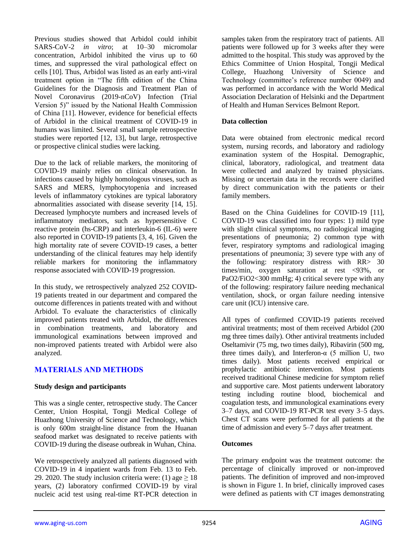Previous studies showed that Arbidol could inhibit SARS-CoV-2 *in vitro*; at 10–30 micromolar concentration, Arbidol inhibited the virus up to 60 times, and suppressed the viral pathological effect on cells [10]. Thus, Arbidol was listed as an early anti-viral treatment option in "The fifth edition of the China Guidelines for the Diagnosis and Treatment Plan of Novel Coronavirus (2019-nCoV) Infection (Trial Version 5)" issued by the National Health Commission of China [11]. However, evidence for beneficial effects of Arbidol in the clinical treatment of COVID-19 in humans was limited. Several small sample retrospective studies were reported [12, 13], but large, retrospective or prospective clinical studies were lacking.

Due to the lack of reliable markers, the monitoring of COVID-19 mainly relies on clinical observation. In infections caused by highly homologous viruses, such as SARS and MERS, lymphocytopenia and increased levels of inflammatory cytokines are typical laboratory abnormalities associated with disease severity [14, 15]. Decreased lymphocyte numbers and increased levels of inflammatory mediators, such as hypersensitive C reactive protein (hs-CRP) and interleukin-6 (IL-6) were also reported in COVID-19 patients [3, 4, 16]. Given the high mortality rate of severe COVID-19 cases, a better understanding of the clinical features may help identify reliable markers for monitoring the inflammatory response associated with COVID-19 progression.

In this study, we retrospectively analyzed 252 COVID-19 patients treated in our department and compared the outcome differences in patients treated with and without Arbidol. To evaluate the characteristics of clinically improved patients treated with Arbidol, the differences in combination treatments, and laboratory and immunological examinations between improved and non-improved patients treated with Arbidol were also analyzed.

# **MATERIALS AND METHODS**

#### **Study design and participants**

This was a single center, retrospective study. The Cancer Center, Union Hospital, Tongji Medical College of Huazhong University of Science and Technology, which is only 600m straight-line distance from the Huanan seafood market was designated to receive patients with COVID-19 during the disease outbreak in Wuhan, China.

We retrospectively analyzed all patients diagnosed with COVID-19 in 4 inpatient wards from Feb. 13 to Feb. 29. 2020. The study inclusion criteria were: (1) age  $\geq 18$ years, (2) laboratory confirmed COVID-19 by viral nucleic acid test using real-time RT-PCR detection in samples taken from the respiratory tract of patients. All patients were followed up for 3 weeks after they were admitted to the hospital. This study was approved by the Ethics Committee of Union Hospital, Tongji Medical College, Huazhong University of Science and Technology (committee's reference number 0049) and was performed in accordance with the World Medical Association Declaration of Helsinki and the Department of Health and Human Services Belmont Report.

## **Data collection**

Data were obtained from electronic medical record system, nursing records, and laboratory and radiology examination system of the Hospital. Demographic, clinical, laboratory, radiological, and treatment data were collected and analyzed by trained physicians. Missing or uncertain data in the records were clarified by direct communication with the patients or their family members.

Based on the China Guidelines for COVID-19 [11], COVID-19 was classified into four types: 1) mild type with slight clinical symptoms, no radiological imaging presentations of pneumonia; 2) common type with fever, respiratory symptoms and radiological imaging presentations of pneumonia; 3) severe type with any of the following: respiratory distress with RR> 30 times/min, oxygen saturation at rest <93%, or PaO2/FiO2<300 mmHg; 4) critical severe type with any of the following: respiratory failure needing mechanical ventilation, shock, or organ failure needing intensive care unit (ICU) intensive care.

All types of confirmed COVID-19 patients received antiviral treatments; most of them received Arbidol (200 mg three times daily). Other antiviral treatments included Oseltamivir (75 mg, two times daily), Ribavirin (500 mg, three times daily), and Interferon- $\alpha$  (5 million U, two times daily). Most patients received empirical or prophylactic antibiotic intervention. Most patients received traditional Chinese medicine for symptom relief and supportive care. Most patients underwent laboratory testing including routine blood, biochemical and coagulation tests, and immunological examinations every 3–7 days, and COVID-19 RT-PCR test every 3–5 days. Chest CT scans were performed for all patients at the time of admission and every 5–7 days after treatment.

# **Outcomes**

The primary endpoint was the treatment outcome: the percentage of clinically improved or non-improved patients. The definition of improved and non-improved is shown in Figure 1. In brief, clinically improved cases were defined as patients with CT images demonstrating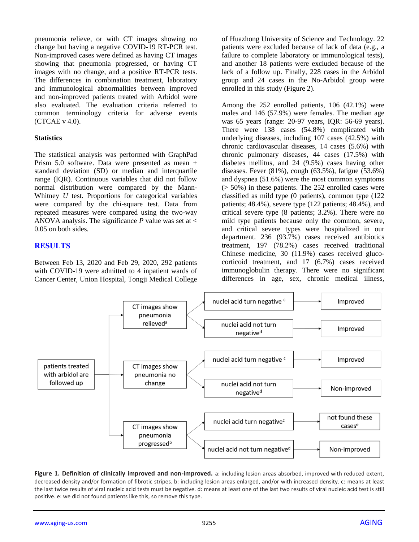pneumonia relieve, or with CT images showing no change but having a negative COVID-19 RT-PCR test. Non-improved cases were defined as having CT images showing that pneumonia progressed, or having CT images with no change, and a positive RT-PCR tests. The differences in combination treatment, laboratory and immunological abnormalities between improved and non-improved patients treated with Arbidol were also evaluated. The evaluation criteria referred to common terminology criteria for adverse events (CTCAE v 4.0).

#### **Statistics**

The statistical analysis was performed with GraphPad Prism 5.0 software. Data were presented as mean ± standard deviation (SD) or median and interquartile range (IQR). Continuous variables that did not follow normal distribution were compared by the Mann-Whitney *U* test. Proportions for categorical variables were compared by the chi-square test. Data from repeated measures were compared using the two-way ANOVA analysis. The significance *P* value was set at < 0.05 on both sides.

## **RESULTS**

Between Feb 13, 2020 and Feb 29, 2020, 292 patients with COVID-19 were admitted to 4 inpatient wards of Cancer Center, Union Hospital, Tongji Medical College of Huazhong University of Science and Technology. 22 patients were excluded because of lack of data (e.g., a failure to complete laboratory or immunological tests), and another 18 patients were excluded because of the lack of a follow up. Finally, 228 cases in the Arbidol group and 24 cases in the No-Arbidol group were enrolled in this study (Figure 2).

Among the 252 enrolled patients, 106 (42.1%) were males and 146 (57.9%) were females. The median age was 65 years (range: 20-97 years, IQR: 56-69 years). There were 138 cases (54.8%) complicated with underlying diseases, including 107 cases (42.5%) with chronic cardiovascular diseases, 14 cases (5.6%) with chronic pulmonary diseases, 44 cases (17.5%) with diabetes mellitus, and 24 (9.5%) cases having other diseases. Fever (81%), cough (63.5%), fatigue (53.6%) and dyspnea (51.6%) were the most common symptoms  $(50\%)$  in these patients. The 252 enrolled cases were classified as mild type (0 patients), common type (122 patients; 48.4%), severe type (122 patients; 48.4%), and critical severe type (8 patients; 3.2%). There were no mild type patients because only the common, severe, and critical severe types were hospitalized in our department. 236 (93.7%) cases received antibiotics treatment, 197 (78.2%) cases received traditional Chinese medicine, 30 (11.9%) cases received glucocorticoid treatment, and 17 (6.7%) cases received immunoglobulin therapy. There were no significant differences in age, sex, chronic medical illness,



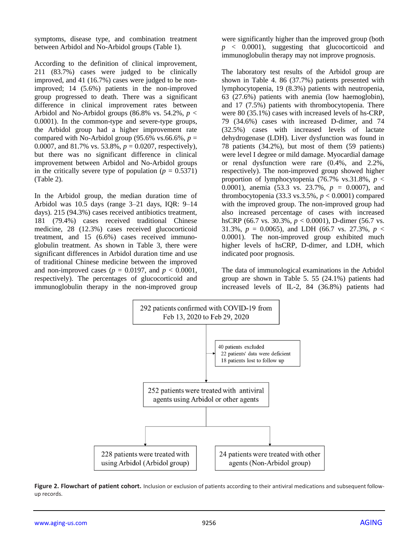symptoms, disease type, and combination treatment between Arbidol and No-Arbidol groups (Table 1).

According to the definition of clinical improvement, 211 (83.7%) cases were judged to be clinically improved, and 41 (16.7%) cases were judged to be nonimproved; 14 (5.6%) patients in the non-improved group progressed to death. There was a significant difference in clinical improvement rates between Arbidol and No-Arbidol groups (86.8% vs. 54.2%, *p <* 0.0001). In the common-type and severe-type groups, the Arbidol group had a higher improvement rate compared with No-Arbidol group (95.6% vs.66.6%,  $p =$ 0.0007, and 81.7% vs. 53.8%, *p* = 0.0207, respectively), but there was no significant difference in clinical improvement between Arbidol and No-Arbidol groups in the critically severe type of population ( $p = 0.5371$ ) (Table 2).

In the Arbidol group, the median duration time of Arbidol was 10.5 days (range 3–21 days, IQR: 9–14 days). 215 (94.3%) cases received antibiotics treatment, 181 (79.4%) cases received traditional Chinese medicine, 28 (12.3%) cases received glucocorticoid treatment, and 15 (6.6%) cases received immunoglobulin treatment. As shown in Table 3, there were significant differences in Arbidol duration time and use of traditional Chinese medicine between the improved and non-improved cases ( $p = 0.0197$ , and  $p < 0.0001$ , respectively). The percentages of glucocorticoid and immunoglobulin therapy in the non-improved group

were significantly higher than the improved group (both *p* < 0.0001), suggesting that glucocorticoid and immunoglobulin therapy may not improve prognosis.

The laboratory test results of the Arbidol group are shown in Table 4. 86 (37.7%) patients presented with lymphocytopenia, 19 (8.3%) patients with neutropenia, 63 (27.6%) patients with anemia (low haemoglobin), and 17 (7.5%) patients with thrombocytopenia. There were 80 (35.1%) cases with increased levels of hs-CRP, 79 (34.6%) cases with increased D-dimer, and 74 (32.5%) cases with increased levels of lactate dehydrogenase (LDH). Liver dysfunction was found in 78 patients (34.2%), but most of them (59 patients) were level I degree or mild damage. Myocardial damage or renal dysfunction were rare (0.4%, and 2.2%, respectively). The non-improved group showed higher proportion of lymphocytopenia (76.7% vs.31.8%,  $p <$ 0.0001), anemia (53.3 vs. 23.7%, *p =* 0.0007), and thrombocytopenia (33.3 vs.3.5%,  $p < 0.0001$ ) compared with the improved group. The non-improved group had also increased percentage of cases with increased hsCRP (66.7 vs. 30.3%, *p* < 0.0001), D-dimer (56.7 vs. 31.3%,  $p = 0.0065$ ), and LDH (66.7 vs. 27.3%,  $p <$ 0.0001). The non-improved group exhibited much higher levels of hsCRP, D-dimer, and LDH, which indicated poor prognosis.

The data of immunological examinations in the Arbidol group are shown in Table 5. 55 (24.1%) patients had increased levels of IL-2, 84 (36.8%) patients had



**Figure 2. Flowchart of patient cohort.** Inclusion or exclusion of patients according to their antiviral medications and subsequent followup records.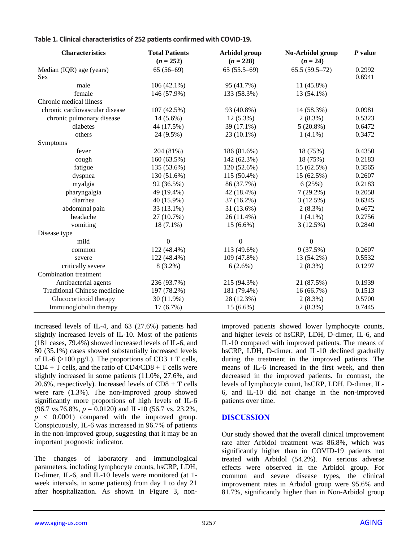| <b>Characteristics</b>              | <b>Total Patients</b> | Arbidol group | No-Arbidol group | $P$ value |
|-------------------------------------|-----------------------|---------------|------------------|-----------|
|                                     | $(n = 252)$           | $(n = 228)$   | $(n = 24)$       |           |
| Median (IQR) age (years)            | $65(56-69)$           | $65(55.5-69)$ | $65.5(59.5-72)$  | 0.2992    |
| <b>Sex</b>                          |                       |               |                  | 0.6941    |
| male                                | $106(42.1\%)$         | 95 (41.7%)    | 11 (45.8%)       |           |
| female                              | 146 (57.9%)           | 133 (58.3%)   | 13 (54.1%)       |           |
| Chronic medical illness             |                       |               |                  |           |
| chronic cardiovascular disease      | 107 (42.5%)           | 93 (40.8%)    | 14 (58.3%)       | 0.0981    |
| chronic pulmonary disease           | $14(5.6\%)$           | $12(5.3\%)$   | $2(8.3\%)$       | 0.5323    |
| diabetes                            | 44 (17.5%)            | 39 (17.1%)    | $5(20.8\%)$      | 0.6472    |
| others                              | 24 (9.5%)             | 23 (10.1%)    | $1(4.1\%)$       | 0.3472    |
| Symptoms                            |                       |               |                  |           |
| fever                               | 204 (81%)             | 186 (81.6%)   | 18 (75%)         | 0.4350    |
| cough                               | 160 (63.5%)           | 142 (62.3%)   | 18 (75%)         | 0.2183    |
| fatigue                             | 135 (53.6%)           | 120 (52.6%)   | 15 (62.5%)       | 0.3565    |
| dyspnea                             | 130 (51.6%)           | 115 (50.4%)   | 15 (62.5%)       | 0.2607    |
| myalgia                             | 92 (36.5%)            | 86 (37.7%)    | 6(25%)           | 0.2183    |
| pharyngalgia                        | 49 (19.4%)            | 42 (18.4%)    | $7(29.2\%)$      | 0.2058    |
| diarrhea                            | 40 (15.9%)            | 37 (16.2%)    | 3(12.5%)         | 0.6345    |
| abdominal pain                      | 33 (13.1%)            | 31 (13.6%)    | $2(8.3\%)$       | 0.4672    |
| headache                            | 27 (10.7%)            | 26 (11.4%)    | $1(4.1\%)$       | 0.2756    |
| vomiting                            | $18(7.1\%)$           | $15(6.6\%)$   | 3(12.5%)         | 0.2840    |
| Disease type                        |                       |               |                  |           |
| mild                                | $\overline{0}$        | $\Omega$      | $\Omega$         |           |
| common                              | 122 (48.4%)           | 113 (49.6%)   | 9(37.5%)         | 0.2607    |
| severe                              | 122 (48.4%)           | 109 (47.8%)   | 13 (54.2%)       | 0.5532    |
| critically severe                   | $8(3.2\%)$            | 6(2.6%)       | $2(8.3\%)$       | 0.1297    |
| Combination treatment               |                       |               |                  |           |
| Antibacterial agents                | 236 (93.7%)           | 215 (94.3%)   | 21 (87.5%)       | 0.1939    |
| <b>Traditional Chinese medicine</b> | 197 (78.2%)           | 181 (79.4%)   | 16(66.7%)        | 0.1513    |
| Glucocorticoid therapy              | 30 (11.9%)            | 28 (12.3%)    | $2(8.3\%)$       | 0.5700    |
| Immunoglobulin therapy              | 17 (6.7%)             | $15(6.6\%)$   | $2(8.3\%)$       | 0.7445    |

increased levels of IL-4, and 63 (27.6%) patients had slightly increased levels of IL-10. Most of the patients (181 cases, 79.4%) showed increased levels of IL-6, and 80 (35.1%) cases showed substantially increased levels of IL-6 ( $>100$  pg/L). The proportions of CD3 + T cells,  $CD4 + T$  cells, and the ratio of  $CD4/CD8 + T$  cells were slightly increased in some patients (11.0%, 27.6%, and 20.6%, respectively). Increased levels of CD8 + T cells were rare (1.3%). The non-improved group showed significantly more proportions of high levels of IL-6  $(96.7 \text{ vs. } 76.8\%, p = 0.0120)$  and IL-10 (56.7 vs. 23.2%,  $p \leq 0.0001$  compared with the improved group. Conspicuously, IL-6 was increased in 96.7% of patients in the non-improved group, suggesting that it may be an important prognostic indicator.

The changes of laboratory and immunological parameters, including lymphocyte counts, hsCRP, LDH, D-dimer, IL-6, and IL-10 levels were monitored (at 1 week intervals, in some patients) from day 1 to day 21 after hospitalization. As shown in Figure 3, nonimproved patients showed lower lymphocyte counts, and higher levels of hsCRP, LDH, D-dimer, IL-6, and IL-10 compared with improved patients. The means of hsCRP, LDH, D-dimer, and IL-10 declined gradually during the treatment in the improved patients. The means of IL-6 increased in the first week, and then decreased in the improved patients. In contrast, the levels of lymphocyte count, hsCRP, LDH, D-dimer, IL-6, and IL-10 did not change in the non-improved patients over time.

# **DISCUSSION**

Our study showed that the overall clinical improvement rate after Arbidol treatment was 86.8%, which was significantly higher than in COVID-19 patients not treated with Arbidol (54.2%). No serious adverse effects were observed in the Arbidol group. For common and severe disease types, the clinical improvement rates in Arbidol group were 95.6% and 81.7%, significantly higher than in Non-Arbidol group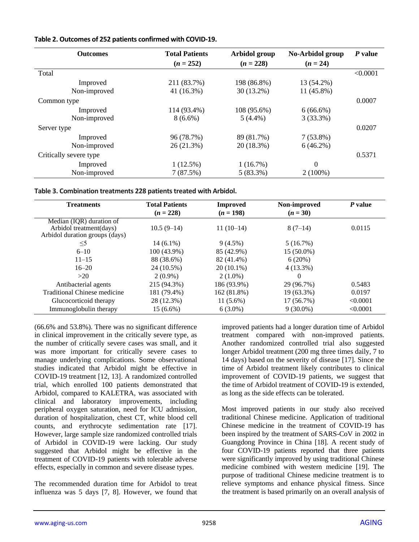#### **Table 2. Outcomes of 252 patients confirmed with COVID-19.**

| <b>Outcomes</b>        | <b>Total Patients</b> | Arbidol group | No-Arbidol group | P value  |
|------------------------|-----------------------|---------------|------------------|----------|
|                        | $(n = 252)$           | $(n = 228)$   | $(n = 24)$       |          |
| Total                  |                       |               |                  | < 0.0001 |
| Improved               | 211 (83.7%)           | 198 (86.8%)   | 13 (54.2%)       |          |
| Non-improved           | 41 (16.3%)            | 30 (13.2%)    | 11 (45.8%)       |          |
| Common type            |                       |               |                  | 0.0007   |
| Improved               | 114 (93.4%)           | 108 (95.6%)   | $6(66.6\%)$      |          |
| Non-improved           | $8(6.6\%)$            | $5(4.4\%)$    | 3(33.3%)         |          |
| Server type            |                       |               |                  | 0.0207   |
| Improved               | 96 (78.7%)            | 89 (81.7%)    | $7(53.8\%)$      |          |
| Non-improved           | 26 (21.3%)            | 20 (18.3%)    | $6(46.2\%)$      |          |
| Critically severe type |                       |               |                  | 0.5371   |
| Improved               | $1(12.5\%)$           | 1(16.7%)      | $\mathbf{0}$     |          |
| Non-improved           | 7(87.5%)              | $5(83.3\%)$   | $2(100\%)$       |          |

|  | Table 3. Combination treatments 228 patients treated with Arbidol. |  |  |  |  |
|--|--------------------------------------------------------------------|--|--|--|--|
|--|--------------------------------------------------------------------|--|--|--|--|

| <b>Treatments</b>                                         | <b>Total Patients</b><br>$(n = 228)$ | <b>Improved</b><br>$(n = 198)$ | Non-improved<br>$(n = 30)$ | P value  |
|-----------------------------------------------------------|--------------------------------------|--------------------------------|----------------------------|----------|
| Median (IQR) duration of                                  |                                      |                                |                            |          |
| Arbidol treatment(days)<br>Arbidol duration groups (days) | $10.5(9-14)$                         | $11(10-14)$                    | $8(7-14)$                  | 0.0115   |
| $\leq$ 5                                                  | $14(6.1\%)$                          | $9(4.5\%)$                     | $5(16.7\%)$                |          |
| $6 - 10$                                                  | 100 (43.9%)                          | 85 (42.9%)                     | 15 (50.0%)                 |          |
| $11 - 15$                                                 | 88 (38.6%)                           | 82 (41.4%)                     | 6(20%)                     |          |
| $16 - 20$                                                 | 24 (10.5%)                           | $20(10.1\%)$                   | $4(13.3\%)$                |          |
| >20                                                       | $2(0.9\%)$                           | $2(1.0\%)$                     | 0                          |          |
| Antibacterial agents                                      | 215 (94.3%)                          | 186 (93.9%)                    | 29 (96.7%)                 | 0.5483   |
| Traditional Chinese medicine                              | 181 (79.4%)                          | 162 (81.8%)                    | 19 (63.3%)                 | 0.0197   |
| Glucocorticoid therapy                                    | 28 (12.3%)                           | $11(5.6\%)$                    | $17(56.7\%)$               | < 0.0001 |
| Immunoglobulin therapy                                    | 15 (6.6%)                            | $6(3.0\%)$                     | $9(30.0\%)$                | < 0.0001 |

(66.6% and 53.8%). There was no significant difference in clinical improvement in the critically severe type, as the number of critically severe cases was small, and it was more important for critically severe cases to manage underlying complications. Some observational studies indicated that Arbidol might be effective in COVID-19 treatment [12, 13]. A randomized controlled trial, which enrolled 100 patients demonstrated that Arbidol, compared to KALETRA, was associated with clinical and laboratory improvements, including peripheral oxygen saturation, need for ICU admission, duration of hospitalization, chest CT, white blood cell counts, and erythrocyte sedimentation rate [17]. However, large sample size randomized controlled trials of Arbidol in COVID-19 were lacking. Our study suggested that Arbidol might be effective in the treatment of COVID-19 patients with tolerable adverse effects, especially in common and severe disease types.

The recommended duration time for Arbidol to treat influenza was 5 days [7, 8]. However, we found that improved patients had a longer duration time of Arbidol treatment compared with non-improved patients. Another randomized controlled trial also suggested longer Arbidol treatment (200 mg three times daily, 7 to 14 days) based on the severity of disease [17]. Since the time of Arbidol treatment likely contributes to clinical improvement of COVID-19 patients, we suggest that the time of Arbidol treatment of COVID-19 is extended, as long as the side effects can be tolerated.

Most improved patients in our study also received traditional Chinese medicine. Application of traditional Chinese medicine in the treatment of COVID-19 has been inspired by the treatment of SARS-CoV in 2002 in Guangdong Province in China [18]. A recent study of four COVID-19 patients reported that three patients were significantly improved by using traditional Chinese medicine combined with western medicine [19]. The purpose of traditional Chinese medicine treatment is to relieve symptoms and enhance physical fitness. Since the treatment is based primarily on an overall analysis of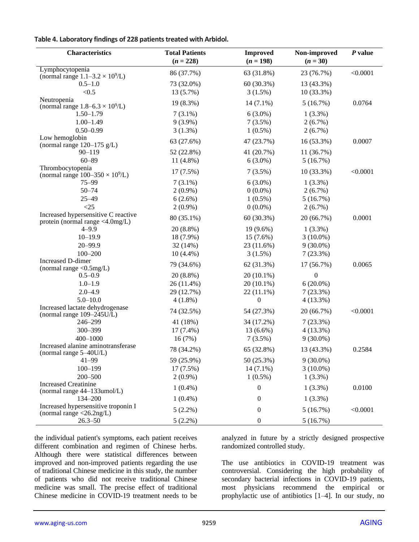#### **Table 4. Laboratory findings of 228 patients treated with Arbidol.**

| <b>Characteristics</b>                                                                  | <b>Total Patients</b><br>$(n = 228)$ | <b>Improved</b><br>$(n = 198)$ | Non-improved<br>$(n = 30)$ | $P$ value |
|-----------------------------------------------------------------------------------------|--------------------------------------|--------------------------------|----------------------------|-----------|
| Lymphocytopenia                                                                         | 86 (37.7%)                           | 63 (31.8%)                     | 23 (76.7%)                 | < 0.0001  |
| (normal range $1.1 - 3.2 \times 10^9$ /L)<br>$0.5 - 1.0$                                | 73 (32.0%)                           | 60 (30.3%)                     | 13 (43.3%)                 |           |
| < 0.5                                                                                   | 13 (5.7%)                            | 3(1.5%)                        | $10(33.3\%)$               |           |
| Neutropenia                                                                             | 19 (8.3%)                            | $14(7.1\%)$                    | 5(16.7%)                   | 0.0764    |
| (normal range $1.8 - 6.3 \times 10^9$ /L)                                               |                                      |                                |                            |           |
| $1.50 - 1.79$                                                                           | $7(3.1\%)$                           | $6(3.0\%)$                     | $1(3.3\%)$                 |           |
| $1.00 - 1.49$                                                                           | $9(3.9\%)$                           | $7(3.5\%)$                     | $2(6.7\%)$                 |           |
| $0.50 - 0.99$                                                                           | $3(1.3\%)$                           | $1(0.5\%)$                     | $2(6.7\%)$                 |           |
| Low hemoglobin<br>(normal range $120-175$ g/L)                                          | 63 (27.6%)                           | 47 (23.7%)                     | 16 (53.3%)                 | 0.0007    |
| $90 - 119$                                                                              | 52 (22.8%)                           | 41 (20.7%)                     | 11(36.7%)                  |           |
| $60 - 89$                                                                               | $11(4.8\%)$                          | $6(3.0\%)$                     | 5(16.7%)                   |           |
| Thrombocytopenia                                                                        | 17 (7.5%)                            | $7(3.5\%)$                     | $10(33.3\%)$               | < 0.0001  |
| (normal range $100-350 \times 10^9$ /L)                                                 |                                      |                                |                            |           |
| $75 - 99$                                                                               | $7(3.1\%)$                           | $6(3.0\%)$                     | $1(3.3\%)$                 |           |
| $50 - 74$                                                                               | $2(0.9\%)$                           | $0(0.0\%)$                     | $2(6.7\%)$                 |           |
| $25 - 49$                                                                               | $6(2.6\%)$                           | $1(0.5\%)$                     | 5(16.7%)                   |           |
| <25                                                                                     | $2(0.9\%)$                           | $0(0.0\%)$                     | $2(6.7\%)$                 |           |
| Increased hypersensitive C reactive<br>protein (normal range <4.0mg/L)                  | 80 (35.1%)                           | 60 (30.3%)                     | 20 (66.7%)                 | 0.0001    |
| $4 - 9.9$                                                                               | 20 (8.8%)                            | 19 (9.6%)                      | $1(3.3\%)$                 |           |
| $10 - 19.9$                                                                             | 18 (7.9%)                            | 15 (7.6%)                      | $3(10.0\%)$                |           |
| $20 - 99.9$                                                                             | 32 (14%)                             | 23 (11.6%)                     | $9(30.0\%)$                |           |
| $100 - 200$                                                                             | $10(4.4\%)$                          | 3(1.5%)                        | 7(23.3%)                   |           |
| Increased D-dimer                                                                       | 79 (34.6%)                           | 62 (31.3%)                     | 17 (56.7%)                 | 0.0065    |
| (normal range $<$ 0.5mg/L)<br>$0.5 - 0.9$                                               | $20(8.8\%)$                          | $20(10.1\%)$                   | $\boldsymbol{0}$           |           |
| $1.0 - 1.9$                                                                             | 26 (11.4%)                           | $20(10.1\%)$                   | $6(20.0\%)$                |           |
| $2.0 - 4.9$                                                                             | 29 (12.7%)                           | $22(11.1\%)$                   | 7(23.3%)                   |           |
| $5.0 - 10.0$                                                                            | $4(1.8\%)$                           | $\boldsymbol{0}$               | $4(13.3\%)$                |           |
| Increased lactate dehydrogenase                                                         |                                      |                                |                            |           |
| (normal range $109 - 245U/L$ )                                                          | 74 (32.5%)                           | 54 (27.3%)                     | 20 (66.7%)                 | < 0.0001  |
| 246-299                                                                                 | 41 (18%)                             | 34 (17.2%)                     | 7(23.3%)                   |           |
| 300-399                                                                                 | $17(7.4\%)$                          | 13 (6.6%)                      | $4(13.3\%)$                |           |
| 400-1000                                                                                | 16(7%)                               | 7(3.5%)                        | $9(30.0\%)$                |           |
| Increased alanine aminotransferase<br>(normal range 5-40U/L)                            | 78 (34.2%)                           | 65 (32.8%)                     | 13 (43.3%)                 | 0.2584    |
| $41 - 99$                                                                               | 59 (25.9%)                           | 50 (25.3%)                     | $9(30.0\%)$                |           |
| $100 - 199$                                                                             | 17(7.5%)                             | $14(7.1\%)$                    | $3(10.0\%)$                |           |
| 200-500                                                                                 | $2(0.9\%)$                           | $1(0.5\%)$                     | $1(3.3\%)$                 |           |
| <b>Increased Creatinine</b><br>(normal range 44-133umol/L)                              | $1(0.4\%)$                           | $\boldsymbol{0}$               | $1(3.3\%)$                 | 0.0100    |
| 134-200                                                                                 | $1(0.4\%)$                           | $\boldsymbol{0}$               | $1(3.3\%)$                 |           |
| Increased hypersensitive troponin I<br>(normal range $\langle 26.2 \text{ng/L} \rangle$ | $5(2.2\%)$                           | $\boldsymbol{0}$               | 5(16.7%)                   | < 0.0001  |
| $26.3 - 50$                                                                             | $5(2.2\%)$                           | $\boldsymbol{0}$               | 5(16.7%)                   |           |

the individual patient's symptoms, each patient receives different combination and regimen of Chinese herbs. Although there were statistical differences between improved and non-improved patients regarding the use of traditional Chinese medicine in this study, the number of patients who did not receive traditional Chinese medicine was small. The precise effect of traditional Chinese medicine in COVID-19 treatment needs to be

analyzed in future by a strictly designed prospective randomized controlled study.

The use antibiotics in COVID-19 treatment was controversial. Considering the high probability of secondary bacterial infections in COVID-19 patients, most physicians recommend the empirical or prophylactic use of antibiotics [1–4]. In our study, no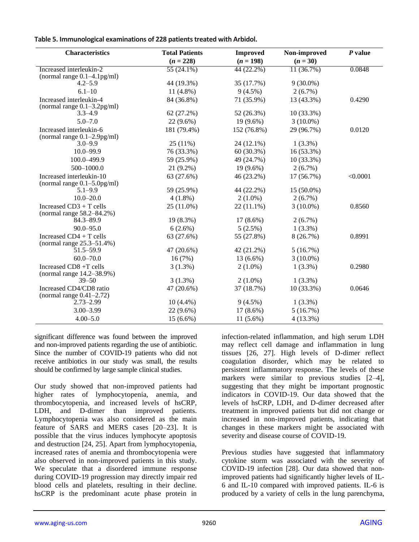| Table 5. Immunological examinations of 228 patients treated with Arbidol. |  |  |  |
|---------------------------------------------------------------------------|--|--|--|
|---------------------------------------------------------------------------|--|--|--|

| <b>Characteristics</b>                        | <b>Total Patients</b>   | <b>Improved</b> | Non-improved | $P$ value |
|-----------------------------------------------|-------------------------|-----------------|--------------|-----------|
|                                               | $(n = 228)$             | $(n = 198)$     | $(n = 30)$   |           |
| Increased interleukin-2                       | $\overline{55(24.1\%)}$ | $44(22.2\%)$    | 11(36.7%)    | 0.0848    |
| (normal range $0.1-4.1$ pg/ml)                |                         |                 |              |           |
| $4.2 - 5.9$                                   | 44 (19.3%)              | 35 (17.7%)      | $9(30.0\%)$  |           |
| $6.1 - 10$                                    | 11 $(4.8\%)$            | $9(4.5\%)$      | $2(6.7\%)$   |           |
| Increased interleukin-4                       | 84 (36.8%)              | 71 (35.9%)      | 13 (43.3%)   | 0.4290    |
| (normal range $0.1 - 3.2$ pg/ml)              |                         |                 |              |           |
| $3.3 - 4.9$                                   | 62(27.2%)               | 52 (26.3%)      | $10(33.3\%)$ |           |
| $5.0 - 7.0$                                   | $22(9.6\%)$             | $19(9.6\%)$     | $3(10.0\%)$  |           |
| Increased interleukin-6                       | 181 (79.4%)             | 152 (76.8%)     | 29 (96.7%)   | 0.0120    |
| (normal range $0.1-2.9$ pg/ml)<br>$3.0 - 9.9$ | $25(11\%)$              | 24 (12.1%)      | $1(3.3\%)$   |           |
| $10.0 - 99.9$                                 |                         |                 |              |           |
|                                               | 76 (33.3%)              | $60(30.3\%)$    | $16(53.3\%)$ |           |
| 100.0-499.9                                   | 59 (25.9%)              | 49 (24.7%)      | $10(33.3\%)$ |           |
| 500-1000.0                                    | $21(9.2\%)$             | $19(9.6\%)$     | $2(6.7\%)$   |           |
| Increased interleukin-10                      | 63 (27.6%)              | 46 (23.2%)      | 17 (56.7%)   | < 0.0001  |
| (normal range $0.1-5.0$ pg/ml)<br>$5.1 - 9.9$ | 59 (25.9%)              | 44 (22.2%)      | 15 (50.0%)   |           |
| $10.0 - 20.0$                                 | $4(1.8\%)$              | $2(1.0\%)$      | $2(6.7\%)$   |           |
| Increased CD3 + T cells                       | 25 (11.0%)              | $22(11.1\%)$    | $3(10.0\%)$  | 0.8560    |
| (normal range $58.2 - 84.2\%$ )               |                         |                 |              |           |
| 84.3-89.9                                     | 19 (8.3%)               | $17(8.6\%)$     | $2(6.7\%)$   |           |
| $90.0 - 95.0$                                 | $6(2.6\%)$              | $5(2.5\%)$      | $1(3.3\%)$   |           |
| Increased CD4 + T cells                       | 63 (27.6%)              | 55 (27.8%)      | 8(26.7%)     | 0.8991    |
| (normal range 25.3–51.4%)                     |                         |                 |              |           |
| 51.5-59.9                                     | 47 (20.6%)              | 42 (21.2%)      | 5(16.7%)     |           |
| $60.0 - 70.0$                                 | 16(7%)                  | 13 (6.6%)       | $3(10.0\%)$  |           |
| Increased CD8 +T cells                        | $3(1.3\%)$              | $2(1.0\%)$      | $1(3.3\%)$   | 0.2980    |
| (normal range 14.2-38.9%)                     |                         |                 |              |           |
| $39 - 50$                                     | $3(1.3\%)$              | $2(1.0\%)$      | $1(3.3\%)$   |           |
| Increased CD4/CD8 ratio                       | 47 (20.6%)              | 37 (18.7%)      | 10 (33.3%)   | 0.0646    |
| (normal range $0.41-2.72$ )                   |                         |                 |              |           |
| $2.73 - 2.99$                                 | $10(4.4\%)$             | $9(4.5\%)$      | $1(3.3\%)$   |           |
| $3.00 - 3.99$                                 | 22 (9.6%)               | $17(8.6\%)$     | 5(16.7%)     |           |
| $4.00 - 5.0$                                  | $15(6.6\%)$             | $11(5.6\%)$     | $4(13.3\%)$  |           |

significant difference was found between the improved and non-improved patients regarding the use of antibiotic. Since the number of COVID-19 patients who did not receive antibiotics in our study was small, the results should be confirmed by large sample clinical studies.

Our study showed that non-improved patients had higher rates of lymphocytopenia, anemia, and thrombocytopenia, and increased levels of hsCRP, LDH, and D-dimer than improved patients. Lymphocytopenia was also considered as the main feature of SARS and MERS cases [20–23]. It is possible that the virus induces lymphocyte apoptosis and destruction [24, 25]. Apart from lymphocytopenia, increased rates of anemia and thrombocytopenia were also observed in non-improved patients in this study. We speculate that a disordered immune response during COVID-19 progression may directly impair red blood cells and platelets, resulting in their decline. hsCRP is the predominant acute phase protein in infection-related inflammation, and high serum LDH may reflect cell damage and inflammation in lung tissues [26, 27]. High levels of D-dimer reflect coagulation disorder, which may be related to persistent inflammatory response. The levels of these markers were similar to previous studies [2–4], suggesting that they might be important prognostic indicators in COVID-19. Our data showed that the levels of hsCRP, LDH, and D-dimer decreased after treatment in improved patients but did not change or increased in non-improved patients, indicating that changes in these markers might be associated with severity and disease course of COVID-19.

Previous studies have suggested that inflammatory cytokine storm was associated with the severity of COVID-19 infection [28]. Our data showed that nonimproved patients had significantly higher levels of IL-6 and IL-10 compared with improved patients. IL-6 is produced by a variety of cells in the lung parenchyma,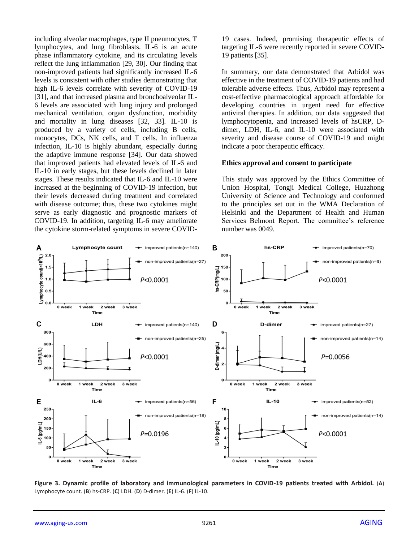including alveolar macrophages, type II pneumocytes, T lymphocytes, and lung fibroblasts. IL-6 is an acute phase inflammatory cytokine, and its circulating levels reflect the lung inflammation [29, 30]. Our finding that non-improved patients had significantly increased IL-6 levels is consistent with other studies demonstrating that high IL-6 levels correlate with severity of COVID-19 [31], and that increased plasma and bronchoalveolar IL-6 levels are associated with lung injury and prolonged mechanical ventilation, organ dysfunction, morbidity and mortality in lung diseases [32, 33]. IL-10 is produced by a variety of cells, including B cells, monocytes, DCs, NK cells, and T cells. In influenza infection, IL-10 is highly abundant, especially during the adaptive immune response [34]. Our data showed that improved patients had elevated levels of IL-6 and IL-10 in early stages, but these levels declined in later stages. These results indicated that IL-6 and IL-10 were increased at the beginning of COVID-19 infection, but their levels decreased during treatment and correlated with disease outcome; thus, these two cytokines might serve as early diagnostic and prognostic markers of COVID-19. In addition, targeting IL-6 may ameliorate the cytokine storm-related symptoms in severe COVID- 19 cases. Indeed, promising therapeutic effects of targeting IL-6 were recently reported in severe COVID-19 patients [35].

In summary, our data demonstrated that Arbidol was effective in the treatment of COVID-19 patients and had tolerable adverse effects. Thus, Arbidol may represent a cost-effective pharmacological approach affordable for developing countries in urgent need for effective antiviral therapies. In addition, our data suggested that lymphocytopenia, and increased levels of hsCRP, Ddimer, LDH, IL-6, and IL-10 were associated with severity and disease course of COVID-19 and might indicate a poor therapeutic efficacy.

#### **Ethics approval and consent to participate**

This study was approved by the Ethics Committee of Union Hospital, Tongji Medical College, Huazhong University of Science and Technology and conformed to the principles set out in the WMA Declaration of Helsinki and the Department of Health and Human Services Belmont Report. The committee's reference number was 0049.



**Figure 3. Dynamic profile of laboratory and immunological parameters in COVID-19 patients treated with Arbidol.** (**A**) Lymphocyte count. (**B**) hs-CRP. (**C**) LDH. (**D**) D-dimer. (**E**) IL-6. (**F**) IL-10.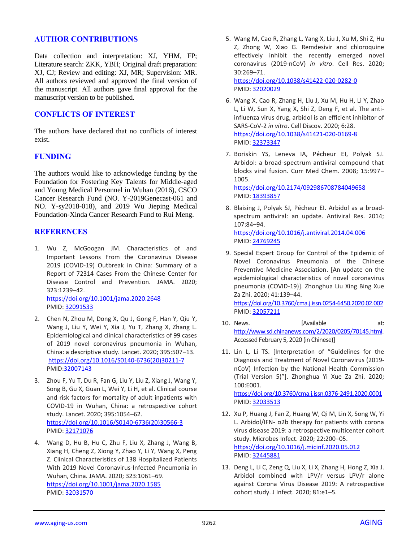#### **AUTHOR CONTRIBUTIONS**

Data collection and interpretation: XJ, YHM, FP; Literature search: ZKK, YBH; Original draft preparation: XJ, CJ; Review and editing: XJ, MR; Supervision: MR. All authors reviewed and approved the final version of the manuscript. All authors gave final approval for the manuscript version to be published.

# **CONFLICTS OF INTEREST**

The authors have declared that no conflicts of interest exist.

# **FUNDING**

The authors would like to acknowledge funding by the Foundation for Fostering Key Talents for Middle-aged and Young Medical Personnel in Wuhan (2016), CSCO Cancer Research Fund (NO. Y-2019Genecast-061 and NO. Y-sy2018-018), and 2019 Wu Jieping Medical Foundation-Xinda Cancer Research Fund to Rui Meng.

## **REFERENCES**

1. Wu Z, McGoogan JM. Characteristics of and Important Lessons From the Coronavirus Disease 2019 (COVID-19) Outbreak in China: Summary of a Report of 72314 Cases From the Chinese Center for Disease Control and Prevention. JAMA. 2020; 323:1239–42. <https://doi.org/10.1001/jama.2020.2648>

PMID: [32091533](http://www.ncbi.nlm.nih.gov/pubmed/32091533)

- 2. Chen N, Zhou M, Dong X, Qu J, Gong F, Han Y, Qiu Y, Wang J, Liu Y, Wei Y, Xia J, Yu T, Zhang X, Zhang L. Epidemiological and clinical characteristics of 99 cases of 2019 novel coronavirus pneumonia in Wuhan, China: a descriptive study. Lancet. 2020; 395:507–13. [https://doi.org/10.1016/S0140-6736\(20\)30211-7](https://doi.org/10.1016/S0140-6736(20)30211-7) PMID[:32007143](http://www.ncbi.nlm.nih.gov/pubmed/32007143)
- 3. Zhou F, Yu T, Du R, Fan G, Liu Y, Liu Z, Xiang J, Wang Y, Song B, Gu X, Guan L, Wei Y, Li H, et al. Clinical course and risk factors for mortality of adult inpatients with COVID-19 in Wuhan, China: a retrospective cohort study. Lancet. 2020; 395:1054–62. [https://doi.org/10.1016/S0140-6736\(20\)30566-3](https://doi.org/10.1016/S0140-6736(20)30566-3) PMID: [32171076](http://www.ncbi.nlm.nih.gov/pubmed/32171076)
- 4. Wang D, Hu B, Hu C, Zhu F, Liu X, Zhang J, Wang B, Xiang H, Cheng Z, Xiong Y, Zhao Y, Li Y, Wang X, Peng Z. Clinical Characteristics of 138 Hospitalized Patients With 2019 Novel Coronavirus-Infected Pneumonia in Wuhan, China. JAMA. 2020; 323:1061–69. <https://doi.org/10.1001/jama.2020.1585> PMID: [32031570](http://www.ncbi.nlm.nih.gov/pubmed/32031570)
- 5. Wang M, Cao R, Zhang L, Yang X, Liu J, Xu M, Shi Z, Hu Z, Zhong W, Xiao G. Remdesivir and chloroquine effectively inhibit the recently emerged novel coronavirus (2019-nCoV) *in vitro*. Cell Res. 2020; 30:269–71. <https://doi.org/10.1038/s41422-020-0282-0> PMID: [32020029](http://www.ncbi.nlm.nih.gov/pubmed/32020029)
- 6. Wang X, Cao R, Zhang H, Liu J, Xu M, Hu H, Li Y, Zhao L, Li W, Sun X, Yang X, Shi Z, Deng F, et al. The antiinfluenza virus drug, arbidol is an efficient inhibitor of SARS-CoV-2 *in vitro*. Cell Discov. 2020; 6:28. <https://doi.org/10.1038/s41421-020-0169-8> PMID: [32373347](http://www.ncbi.nlm.nih.gov/pubmed/32373347)
- 7. Boriskin YS, Leneva IA, Pécheur EI, Polyak SJ. Arbidol: a broad-spectrum antiviral compound that blocks viral fusion. Curr Med Chem. 2008; 15:997– 1005. <https://doi.org/10.2174/092986708784049658> PMID: [18393857](http://www.ncbi.nlm.nih.gov/pubmed/18393857)
- 8. Blaising J, Polyak SJ, Pécheur EI. Arbidol as a broadspectrum antiviral: an update. Antiviral Res. 2014; 107:84–94. <https://doi.org/10.1016/j.antiviral.2014.04.006> PMID: [24769245](http://www.ncbi.nlm.nih.gov/pubmed/24769245)
- 9. Special Expert Group for Control of the Epidemic of Novel Coronavirus Pneumonia of the Chinese Preventive Medicine Association. [An update on the epidemiological characteristics of novel coronavirus pneumonia (COVID-19)]. Zhonghua Liu Xing Bing Xue Za Zhi. 2020; 41:139–44.

<https://doi.org/10.3760/cma.j.issn.0254-6450.2020.02.002> PMID: [32057211](http://www.ncbi.nlm.nih.gov/pubmed/32057211)

- 10. News. **Example 10. News.** [Available at: [http://www.sd.chinanews.com/2/2020/0205/70145.html.](http://www.sd.chinanews.com/2/2020/0205/70145.html)  Accessed February 5, 2020 (in Chinese)]
- 11. Lin L, Li TS. [Interpretation of "Guidelines for the Diagnosis and Treatment of Novel Coronavirus (2019 nCoV) Infection by the National Health Commission (Trial Version 5)"]. Zhonghua Yi Xue Za Zhi. 2020; 100:E001. <https://doi.org/10.3760/cma.j.issn.0376-2491.2020.0001> PMID: [32033513](http://www.ncbi.nlm.nih.gov/pubmed/32033513)
- 12. Xu P, Huang J, Fan Z, Huang W, Qi M, Lin X, Song W, Yi L. Arbidol/IFN- α2b therapy for patients with corona virus disease 2019: a retrospective multicenter cohort study. Microbes Infect. 2020; 22:200–05. <https://doi.org/10.1016/j.micinf.2020.05.012> PMID: [32445881](http://www.ncbi.nlm.nih.gov/pubmed/32445881)
- 13. Deng L, Li C, Zeng Q, Liu X, Li X, Zhang H, Hong Z, Xia J. Arbidol combined with LPV/r versus LPV/r alone against Corona Virus Disease 2019: A retrospective cohort study. J Infect. 2020; 81:e1–5.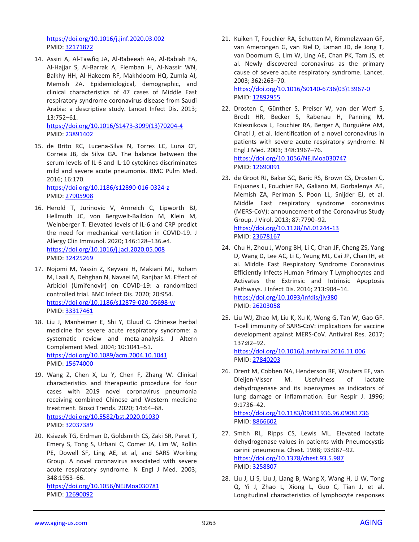<https://doi.org/10.1016/j.jinf.2020.03.002> PMID: [32171872](http://www.ncbi.nlm.nih.gov/pubmed/32171872)

14. Assiri A, Al-Tawfiq JA, Al-Rabeeah AA, Al-Rabiah FA, Al-Hajjar S, Al-Barrak A, Flemban H, Al-Nassir WN, Balkhy HH, Al-Hakeem RF, Makhdoom HQ, Zumla AI, Memish ZA. Epidemiological, demographic, and clinical characteristics of 47 cases of Middle East respiratory syndrome coronavirus disease from Saudi Arabia: a descriptive study. Lancet Infect Dis. 2013; 13:752–61. [https://doi.org/10.1016/S1473-3099\(13\)70204-4](https://doi.org/10.1016/S1473-3099(13)70204-4)

PMID: [23891402](http://www.ncbi.nlm.nih.gov/pubmed/23891402)

- 15. de Brito RC, Lucena-Silva N, Torres LC, Luna CF, Correia JB, da Silva GA. The balance between the serum levels of IL-6 and IL-10 cytokines discriminates mild and severe acute pneumonia. BMC Pulm Med. 2016; 16:170. <https://doi.org/10.1186/s12890-016-0324-z> PMID: [27905908](http://www.ncbi.nlm.nih.gov/pubmed/27905908)
- 16. Herold T, Jurinovic V, Arnreich C, Lipworth BJ, Hellmuth JC, von Bergwelt-Baildon M, Klein M, Weinberger T. Elevated levels of IL-6 and CRP predict the need for mechanical ventilation in COVID-19. J Allergy Clin Immunol. 2020; 146:128–136.e4. <https://doi.org/10.1016/j.jaci.2020.05.008> PMID: [32425269](http://www.ncbi.nlm.nih.gov/pubmed/32425269)
- 17. Nojomi M, Yassin Z, Keyvani H, Makiani MJ, Roham M, Laali A, Dehghan N, Navaei M, Ranjbar M. Effect of Arbidol (Umifenovir) on COVID-19: a randomized controlled trial. BMC Infect Dis. 2020; 20:954. <https://doi.org/10.1186/s12879-020-05698-w> PMID: [33317461](http://www.ncbi.nlm.nih.gov/pubmed/33317461)
- 18. Liu J, Manheimer E, Shi Y, Gluud C. Chinese herbal medicine for severe acute respiratory syndrome: a systematic review and meta-analysis. J Altern Complement Med. 2004; 10:1041–51. <https://doi.org/10.1089/acm.2004.10.1041> PMID: [15674000](http://www.ncbi.nlm.nih.gov/pubmed/15674000)
- 19. Wang Z, Chen X, Lu Y, Chen F, Zhang W. Clinical characteristics and therapeutic procedure for four cases with 2019 novel coronavirus pneumonia receiving combined Chinese and Western medicine treatment. Biosci Trends. 2020; 14:64–68. <https://doi.org/10.5582/bst.2020.01030> PMID: [32037389](http://www.ncbi.nlm.nih.gov/pubmed/32037389)
- 20. Ksiazek TG, Erdman D, Goldsmith CS, Zaki SR, Peret T, Emery S, Tong S, Urbani C, Comer JA, Lim W, Rollin PE, Dowell SF, Ling AE, et al, and SARS Working Group. A novel coronavirus associated with severe acute respiratory syndrome. N Engl J Med. 2003; 348:1953–66.

<https://doi.org/10.1056/NEJMoa030781> PMID: [12690092](http://www.ncbi.nlm.nih.gov/pubmed/12690092)

21. Kuiken T, Fouchier RA, Schutten M, Rimmelzwaan GF, van Amerongen G, van Riel D, Laman JD, de Jong T, van Doornum G, Lim W, Ling AE, Chan PK, Tam JS, et al. Newly discovered coronavirus as the primary cause of severe acute respiratory syndrome. Lancet. 2003; 362:263–70.

[https://doi.org/10.1016/S0140-6736\(03\)13967-0](https://doi.org/10.1016/S0140-6736(03)13967-0) PMID: [12892955](http://www.ncbi.nlm.nih.gov/pubmed/12892955)

- 22. Drosten C, Günther S, Preiser W, van der Werf S, Brodt HR, Becker S, Rabenau H, Panning M, Kolesnikova L, Fouchier RA, Berger A, Burguière AM, Cinatl J, et al. Identification of a novel coronavirus in patients with severe acute respiratory syndrome. N Engl J Med. 2003; 348:1967–76. <https://doi.org/10.1056/NEJMoa030747> PMID: [12690091](http://www.ncbi.nlm.nih.gov/pubmed/12690091)
- 23. de Groot RJ, Baker SC, Baric RS, Brown CS, Drosten C, Enjuanes L, Fouchier RA, Galiano M, Gorbalenya AE, Memish ZA, Perlman S, Poon LL, Snijder EJ, et al. Middle East respiratory syndrome coronavirus (MERS-CoV): announcement of the Coronavirus Study Group. J Virol. 2013; 87:7790–92. <https://doi.org/10.1128/JVI.01244-13> PMID: [23678167](http://www.ncbi.nlm.nih.gov/pubmed/23678167)
- 24. Chu H, Zhou J, Wong BH, Li C, Chan JF, Cheng ZS, Yang D, Wang D, Lee AC, Li C, Yeung ML, Cai JP, Chan IH, et al. Middle East Respiratory Syndrome Coronavirus Efficiently Infects Human Primary T Lymphocytes and Activates the Extrinsic and Intrinsic Apoptosis Pathways. J Infect Dis. 2016; 213:904–14. <https://doi.org/10.1093/infdis/jiv380> PMID: [26203058](http://www.ncbi.nlm.nih.gov/pubmed/26203058)
- 25. Liu WJ, Zhao M, Liu K, Xu K, Wong G, Tan W, Gao GF. T-cell immunity of SARS-CoV: implications for vaccine development against MERS-CoV. Antiviral Res. 2017; 137:82–92. <https://doi.org/10.1016/j.antiviral.2016.11.006> PMID: [27840203](http://www.ncbi.nlm.nih.gov/pubmed/27840203)
- 26. Drent M, Cobben NA, Henderson RF, Wouters EF, van Dieijen-Visser M. Usefulness of lactate dehydrogenase and its isoenzymes as indicators of lung damage or inflammation. Eur Respir J. 1996; 9:1736–42.

<https://doi.org/10.1183/09031936.96.09081736> PMID: [8866602](http://www.ncbi.nlm.nih.gov/pubmed/8866602)

- 27. Smith RL, Ripps CS, Lewis ML. Elevated lactate dehydrogenase values in patients with Pneumocystis carinii pneumonia. Chest. 1988; 93:987–92. <https://doi.org/10.1378/chest.93.5.987> PMID: [3258807](http://www.ncbi.nlm.nih.gov/pubmed/3258807)
- 28. Liu J, Li S, Liu J, Liang B, Wang X, Wang H, Li W, Tong Q, Yi J, Zhao L, Xiong L, Guo C, Tian J, et al. Longitudinal characteristics of lymphocyte responses